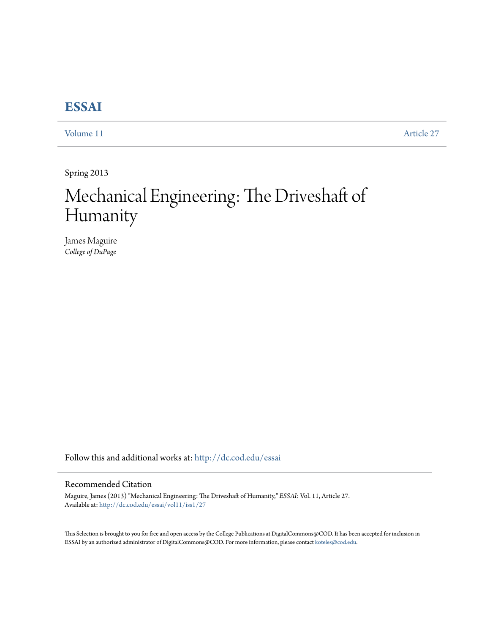## **[ESSAI](http://dc.cod.edu/essai?utm_source=dc.cod.edu%2Fessai%2Fvol11%2Fiss1%2F27&utm_medium=PDF&utm_campaign=PDFCoverPages)**

[Volume 11](http://dc.cod.edu/essai/vol11?utm_source=dc.cod.edu%2Fessai%2Fvol11%2Fiss1%2F27&utm_medium=PDF&utm_campaign=PDFCoverPages) [Article 27](http://dc.cod.edu/essai/vol11/iss1/27?utm_source=dc.cod.edu%2Fessai%2Fvol11%2Fiss1%2F27&utm_medium=PDF&utm_campaign=PDFCoverPages)

Spring 2013

## Mechanical Engineering: The Driveshaft of Humanity

James Maguire *College of DuPage*

Follow this and additional works at: [http://dc.cod.edu/essai](http://dc.cod.edu/essai?utm_source=dc.cod.edu%2Fessai%2Fvol11%2Fiss1%2F27&utm_medium=PDF&utm_campaign=PDFCoverPages)

## Recommended Citation

Maguire, James (2013) "Mechanical Engineering: The Driveshaft of Humanity," *ESSAI*: Vol. 11, Article 27. Available at: [http://dc.cod.edu/essai/vol11/iss1/27](http://dc.cod.edu/essai/vol11/iss1/27?utm_source=dc.cod.edu%2Fessai%2Fvol11%2Fiss1%2F27&utm_medium=PDF&utm_campaign=PDFCoverPages)

This Selection is brought to you for free and open access by the College Publications at DigitalCommons@COD. It has been accepted for inclusion in ESSAI by an authorized administrator of DigitalCommons@COD. For more information, please contact [koteles@cod.edu](mailto:koteles@cod.edu).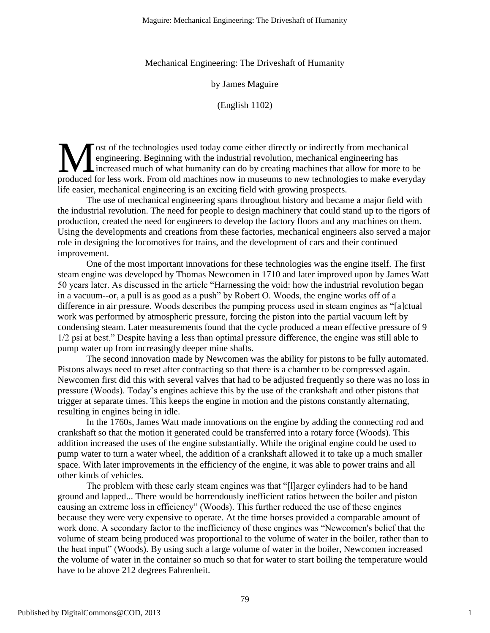Mechanical Engineering: The Driveshaft of Humanity

by James Maguire

(English 1102)

ost of the technologies used today come either directly or indirectly from mechanical engineering. Beginning with the industrial revolution, mechanical engineering has **L** increased much of what humanity can do by creating machines that allow for more to be ost of the technologies used today come either directly or indirectly from mechanical engineering. Beginning with the industrial revolution, mechanical engineering has increased much of what humanity can do by creating mac life easier, mechanical engineering is an exciting field with growing prospects.

The use of mechanical engineering spans throughout history and became a major field with the industrial revolution. The need for people to design machinery that could stand up to the rigors of production, created the need for engineers to develop the factory floors and any machines on them. Using the developments and creations from these factories, mechanical engineers also served a major role in designing the locomotives for trains, and the development of cars and their continued improvement.

One of the most important innovations for these technologies was the engine itself. The first steam engine was developed by Thomas Newcomen in 1710 and later improved upon by James Watt 50 years later. As discussed in the article "Harnessing the void: how the industrial revolution began in a vacuum--or, a pull is as good as a push" by Robert O. Woods, the engine works off of a difference in air pressure. Woods describes the pumping process used in steam engines as "[a]ctual work was performed by atmospheric pressure, forcing the piston into the partial vacuum left by condensing steam. Later measurements found that the cycle produced a mean effective pressure of 9 1/2 psi at best." Despite having a less than optimal pressure difference, the engine was still able to pump water up from increasingly deeper mine shafts.

The second innovation made by Newcomen was the ability for pistons to be fully automated. Pistons always need to reset after contracting so that there is a chamber to be compressed again. Newcomen first did this with several valves that had to be adjusted frequently so there was no loss in pressure (Woods). Today's engines achieve this by the use of the crankshaft and other pistons that trigger at separate times. This keeps the engine in motion and the pistons constantly alternating, resulting in engines being in idle.

In the 1760s, James Watt made innovations on the engine by adding the connecting rod and crankshaft so that the motion it generated could be transferred into a rotary force (Woods). This addition increased the uses of the engine substantially. While the original engine could be used to pump water to turn a water wheel, the addition of a crankshaft allowed it to take up a much smaller space. With later improvements in the efficiency of the engine, it was able to power trains and all other kinds of vehicles.

The problem with these early steam engines was that "[I]arger cylinders had to be hand ground and lapped... There would be horrendously inefficient ratios between the boiler and piston causing an extreme loss in efficiency" (Woods). This further reduced the use of these engines because they were very expensive to operate. At the time horses provided a comparable amount of work done. A secondary factor to the inefficiency of these engines was "Newcomen's belief that the volume of steam being produced was proportional to the volume of water in the boiler, rather than to the heat input" (Woods). By using such a large volume of water in the boiler, Newcomen increased the volume of water in the container so much so that for water to start boiling the temperature would have to be above 212 degrees Fahrenheit.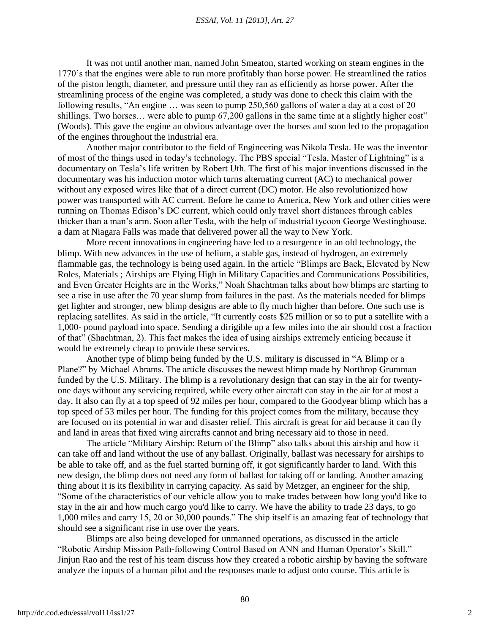## *ESSAI, Vol. 11 [2013], Art. 27*

It was not until another man, named John Smeaton, started working on steam engines in the 1770's that the engines were able to run more profitably than horse power. He streamlined the ratios of the piston length, diameter, and pressure until they ran as efficiently as horse power. After the streamlining process of the engine was completed, a study was done to check this claim with the following results, "An engine  $\ldots$  was seen to pump 250,560 gallons of water a day at a cost of 20 shillings. Two horses... were able to pump  $67,200$  gallons in the same time at a slightly higher cost" (Woods). This gave the engine an obvious advantage over the horses and soon led to the propagation of the engines throughout the industrial era.

Another major contributor to the field of Engineering was Nikola Tesla. He was the inventor of most of the things used in today's technology. The PBS special "Tesla, Master of Lightning" is a documentary on Tesla's life written by Robert Uth. The first of his major inventions discussed in the documentary was his induction motor which turns alternating current (AC) to mechanical power without any exposed wires like that of a direct current (DC) motor. He also revolutionized how power was transported with AC current. Before he came to America, New York and other cities were running on Thomas Edison's DC current, which could only travel short distances through cables thicker than a man's arm. Soon after Tesla, with the help of industrial tycoon George Westinghouse, a dam at Niagara Falls was made that delivered power all the way to New York.

More recent innovations in engineering have led to a resurgence in an old technology, the blimp. With new advances in the use of helium, a stable gas, instead of hydrogen, an extremely flammable gas, the technology is being used again. In the article "Blimps are Back, Elevated by New Roles, Materials ; Airships are Flying High in Military Capacities and Communications Possibilities, and Even Greater Heights are in the Works," Noah Shachtman talks about how blimps are starting to see a rise in use after the 70 year slump from failures in the past. As the materials needed for blimps get lighter and stronger, new blimp designs are able to fly much higher than before. One such use is replacing satellites. As said in the article, "It currently costs \$25 million or so to put a satellite with a 1,000- pound payload into space. Sending a dirigible up a few miles into the air should cost a fraction of that" (Shachtman, 2). This fact makes the idea of using airships extremely enticing because it would be extremely cheap to provide these services.

Another type of blimp being funded by the U.S. military is discussed in "A Blimp or a Plane?" by Michael Abrams. The article discusses the newest blimp made by Northrop Grumman funded by the U.S. Military. The blimp is a revolutionary design that can stay in the air for twentyone days without any servicing required, while every other aircraft can stay in the air for at most a day. It also can fly at a top speed of 92 miles per hour, compared to the Goodyear blimp which has a top speed of 53 miles per hour. The funding for this project comes from the military, because they are focused on its potential in war and disaster relief. This aircraft is great for aid because it can fly and land in areas that fixed wing aircrafts cannot and bring necessary aid to those in need.

The article "Military Airship: Return of the Blimp" also talks about this airship and how it can take off and land without the use of any ballast. Originally, ballast was necessary for airships to be able to take off, and as the fuel started burning off, it got significantly harder to land. With this new design, the blimp does not need any form of ballast for taking off or landing. Another amazing thing about it is its flexibility in carrying capacity. As said by Metzger, an engineer for the ship, ―Some of the characteristics of our vehicle allow you to make trades between how long you'd like to stay in the air and how much cargo you'd like to carry. We have the ability to trade 23 days, to go 1,000 miles and carry 15, 20 or 30,000 pounds." The ship itself is an amazing feat of technology that should see a significant rise in use over the years.

Blimps are also being developed for unmanned operations, as discussed in the article "Robotic Airship Mission Path-following Control Based on ANN and Human Operator's Skill." Jinjun Rao and the rest of his team discuss how they created a robotic airship by having the software analyze the inputs of a human pilot and the responses made to adjust onto course. This article is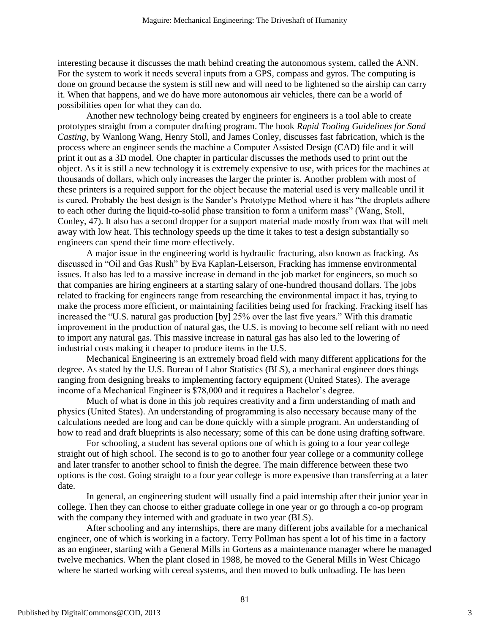interesting because it discusses the math behind creating the autonomous system, called the ANN. For the system to work it needs several inputs from a GPS, compass and gyros. The computing is done on ground because the system is still new and will need to be lightened so the airship can carry it. When that happens, and we do have more autonomous air vehicles, there can be a world of possibilities open for what they can do.

Another new technology being created by engineers for engineers is a tool able to create prototypes straight from a computer drafting program. The book *Rapid Tooling Guidelines for Sand Casting*, by Wanlong Wang, Henry Stoll, and James Conley, discusses fast fabrication, which is the process where an engineer sends the machine a Computer Assisted Design (CAD) file and it will print it out as a 3D model. One chapter in particular discusses the methods used to print out the object. As it is still a new technology it is extremely expensive to use, with prices for the machines at thousands of dollars, which only increases the larger the printer is. Another problem with most of these printers is a required support for the object because the material used is very malleable until it is cured. Probably the best design is the Sander's Prototype Method where it has "the droplets adhere to each other during the liquid-to-solid phase transition to form a uniform mass" (Wang, Stoll, Conley, 47). It also has a second dropper for a support material made mostly from wax that will melt away with low heat. This technology speeds up the time it takes to test a design substantially so engineers can spend their time more effectively.

A major issue in the engineering world is hydraulic fracturing, also known as fracking. As discussed in "Oil and Gas Rush" by Eva Kaplan-Leiserson, Fracking has immense environmental issues. It also has led to a massive increase in demand in the job market for engineers, so much so that companies are hiring engineers at a starting salary of one-hundred thousand dollars. The jobs related to fracking for engineers range from researching the environmental impact it has, trying to make the process more efficient, or maintaining facilities being used for fracking. Fracking itself has increased the "U.S. natural gas production [by] 25% over the last five years." With this dramatic improvement in the production of natural gas, the U.S. is moving to become self reliant with no need to import any natural gas. This massive increase in natural gas has also led to the lowering of industrial costs making it cheaper to produce items in the U.S.

Mechanical Engineering is an extremely broad field with many different applications for the degree. As stated by the U.S. Bureau of Labor Statistics (BLS), a mechanical engineer does things ranging from designing breaks to implementing factory equipment (United States). The average income of a Mechanical Engineer is \$78,000 and it requires a Bachelor's degree.

Much of what is done in this job requires creativity and a firm understanding of math and physics (United States). An understanding of programming is also necessary because many of the calculations needed are long and can be done quickly with a simple program. An understanding of how to read and draft blueprints is also necessary; some of this can be done using drafting software.

For schooling, a student has several options one of which is going to a four year college straight out of high school. The second is to go to another four year college or a community college and later transfer to another school to finish the degree. The main difference between these two options is the cost. Going straight to a four year college is more expensive than transferring at a later date.

In general, an engineering student will usually find a paid internship after their junior year in college. Then they can choose to either graduate college in one year or go through a co-op program with the company they interned with and graduate in two year (BLS).

After schooling and any internships, there are many different jobs available for a mechanical engineer, one of which is working in a factory. Terry Pollman has spent a lot of his time in a factory as an engineer, starting with a General Mills in Gortens as a maintenance manager where he managed twelve mechanics. When the plant closed in 1988, he moved to the General Mills in West Chicago where he started working with cereal systems, and then moved to bulk unloading. He has been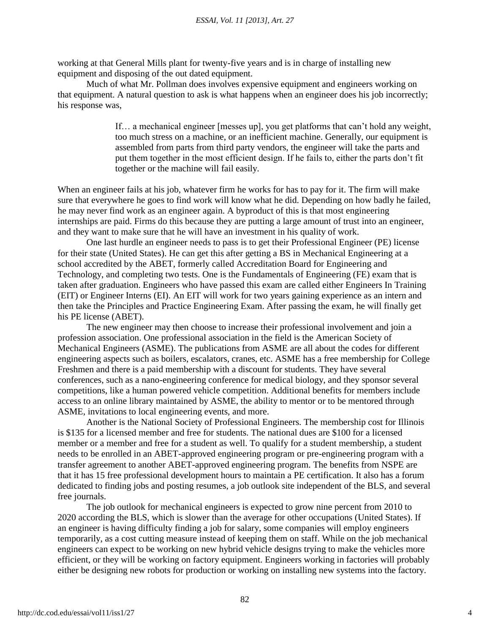working at that General Mills plant for twenty-five years and is in charge of installing new equipment and disposing of the out dated equipment.

Much of what Mr. Pollman does involves expensive equipment and engineers working on that equipment. A natural question to ask is what happens when an engineer does his job incorrectly; his response was,

> If… a mechanical engineer [messes up], you get platforms that can't hold any weight, too much stress on a machine, or an inefficient machine. Generally, our equipment is assembled from parts from third party vendors, the engineer will take the parts and put them together in the most efficient design. If he fails to, either the parts don't fit together or the machine will fail easily.

When an engineer fails at his job, whatever firm he works for has to pay for it. The firm will make sure that everywhere he goes to find work will know what he did. Depending on how badly he failed, he may never find work as an engineer again. A byproduct of this is that most engineering internships are paid. Firms do this because they are putting a large amount of trust into an engineer, and they want to make sure that he will have an investment in his quality of work.

One last hurdle an engineer needs to pass is to get their Professional Engineer (PE) license for their state (United States). He can get this after getting a BS in Mechanical Engineering at a school accredited by the ABET, formerly called Accreditation Board for Engineering and Technology, and completing two tests. One is the Fundamentals of Engineering (FE) exam that is taken after graduation. Engineers who have passed this exam are called either Engineers In Training (EIT) or Engineer Interns (EI). An EIT will work for two years gaining experience as an intern and then take the Principles and Practice Engineering Exam. After passing the exam, he will finally get his PE license (ABET).

The new engineer may then choose to increase their professional involvement and join a profession association. One professional association in the field is the American Society of Mechanical Engineers (ASME). The publications from ASME are all about the codes for different engineering aspects such as boilers, escalators, cranes, etc. ASME has a free membership for College Freshmen and there is a paid membership with a discount for students. They have several conferences, such as a nano-engineering conference for medical biology, and they sponsor several competitions, like a human powered vehicle competition. Additional benefits for members include access to an online library maintained by ASME, the ability to mentor or to be mentored through ASME, invitations to local engineering events, and more.

Another is the National Society of Professional Engineers. The membership cost for Illinois is \$135 for a licensed member and free for students. The national dues are \$100 for a licensed member or a member and free for a student as well. To qualify for a student membership, a student needs to be enrolled in an ABET-approved engineering program or pre-engineering program with a transfer agreement to another ABET-approved engineering program. The benefits from NSPE are that it has 15 free professional development hours to maintain a PE certification. It also has a forum dedicated to finding jobs and posting resumes, a job outlook site independent of the BLS, and several free journals.

The job outlook for mechanical engineers is expected to grow nine percent from 2010 to 2020 according the BLS, which is slower than the average for other occupations (United States). If an engineer is having difficulty finding a job for salary, some companies will employ engineers temporarily, as a cost cutting measure instead of keeping them on staff. While on the job mechanical engineers can expect to be working on new hybrid vehicle designs trying to make the vehicles more efficient, or they will be working on factory equipment. Engineers working in factories will probably either be designing new robots for production or working on installing new systems into the factory.